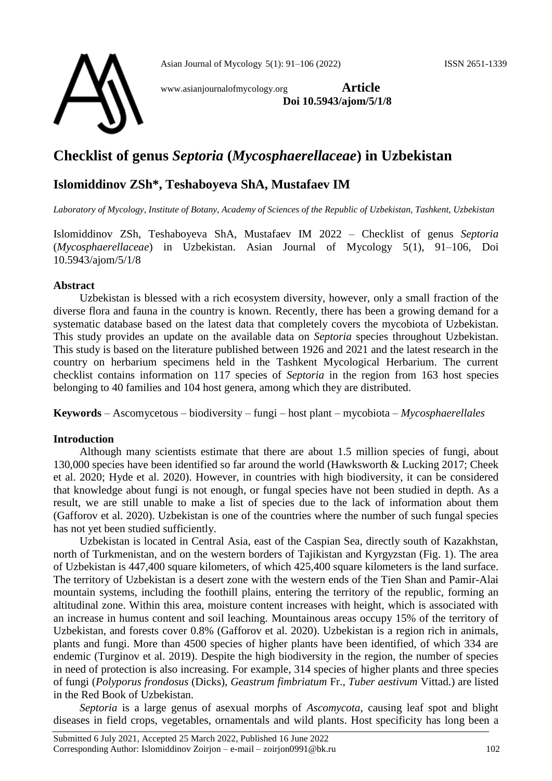

www.asianjournalofmycology.org **Article Doi 10.5943/ajom/5/1/8**

# **Checklist of genus** *Septoria* **(***Mycosphaerellaceae***) in Uzbekistan**

# **Islomiddinov ZSh\*, Teshaboyeva ShA, Mustafaev IM**

*Laboratory of Mycology, Institute of Botany, Academy of Sciences of the Republic of Uzbekistan, Tashkent, Uzbekistan* 

Islomiddinov ZSh, Teshaboyeva ShA, Mustafaev IM 2022 – Checklist of genus *Septoria* (*Mycosphaerellaceae*) in Uzbekistan. Asian Journal of Mycology 5(1), 91–106, Doi 10.5943/ajom/5/1/8

#### **Abstract**

Uzbekistan is blessed with a rich ecosystem diversity, however, only a small fraction of the diverse flora and fauna in the country is known. Recently, there has been a growing demand for a systematic database based on the latest data that completely covers the mycobiota of Uzbekistan. This study provides an update on the available data on *Septoria* species throughout Uzbekistan. This study is based on the literature published between 1926 and 2021 and the latest research in the country on herbarium specimens held in the Tashkent Mycological Herbarium. The current checklist contains information on 117 species of *Septoria* in the region from 163 host species belonging to 40 families and 104 host genera, among which they are distributed.

**Keywords** – Ascomycetous – biodiversity – fungi – host plant – mycobiota – *Mycosphaerellales*

#### **Introduction**

Although many scientists estimate that there are about 1.5 million species of fungi, about 130,000 species have been identified so far around the world (Hawksworth & Lucking 2017; Cheek et al. 2020; Hyde et al. 2020). However, in countries with high biodiversity, it can be considered that knowledge about fungi is not enough, or fungal species have not been studied in depth. As a result, we are still unable to make a list of species due to the lack of information about them (Gafforov et al. 2020). Uzbekistan is one of the countries where the number of such fungal species has not yet been studied sufficiently.

Uzbekistan is located in Central Asia, east of the Caspian Sea, directly south of Kazakhstan, north of Turkmenistan, and on the western borders of Tajikistan and Kyrgyzstan (Fig. 1). The area of Uzbekistan is 447,400 square kilometers, of which 425,400 square kilometers is the land surface. The territory of Uzbekistan is a desert zone with the western ends of the Tien Shan and Pamir-Alai mountain systems, including the foothill plains, entering the territory of the republic, forming an altitudinal zone. Within this area, moisture content increases with height, which is associated with an increase in humus content and soil leaching. Mountainous areas occupy 15% of the territory of Uzbekistan, and forests cover 0.8% (Gafforov et al. 2020). Uzbekistan is a region rich in animals, plants and fungi. More than 4500 species of higher plants have been identified, of which 334 are endemic (Turginov et al. 2019). Despite the high biodiversity in the region, the number of species in need of protection is also increasing. For example, 314 species of higher plants and three species of fungi (*Polyporus frondosus* (Dicks), *Geastrum fimbriatum* Fr., *Tuber aestivum* Vittad.) are listed in the Red Book of Uzbekistan.

*Septoria* is a large genus of asexual morphs of *Ascomycota*, causing leaf spot and blight diseases in field crops, vegetables, ornamentals and wild plants. Host specificity has long been a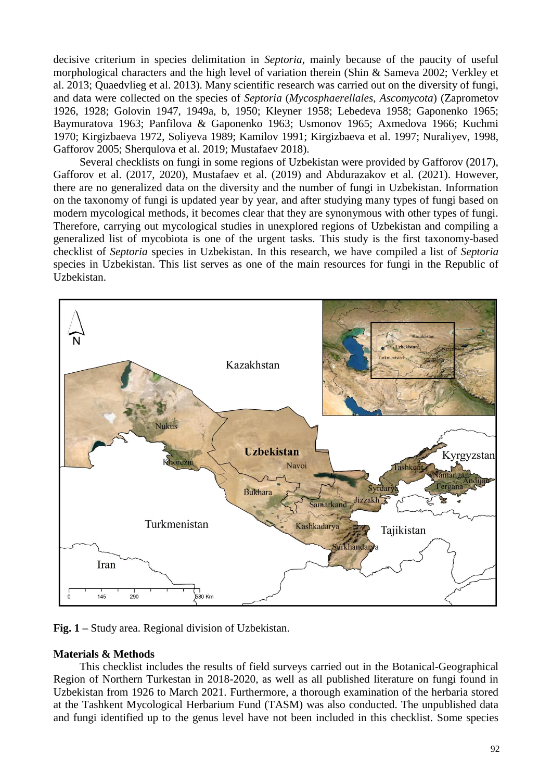decisive criterium in species delimitation in *Septoria*, mainly because of the paucity of useful morphological characters and the high level of variation therein (Shin & Sameva 2002; Verkley et al. 2013; [Quaedvlieg](https://www.sciencedirect.com/science/article/pii/S0166061614600051?via%3Dihub#bib49) et al. 2013). Many scientific research was carried out on the diversity of fungi, and data were collected on the species of *Septoria* (*Mycosphaerellales*, *Ascomycota*) (Zaprometov 1926, 1928; Golovin 1947, 1949a, b, 1950; Kleyner 1958; Lebedeva 1958; Gaponenko 1965; Baymuratova 1963; Panfilova & Gaponenko 1963; Usmonov 1965; Axmedova 1966; Kuchmi 1970; Kirgizbaeva 1972, Soliyeva 1989; Kamilov 1991; Kirgizbaeva et al. 1997; Nuraliyev, 1998, Gafforov 2005; Sherqulova et al. 2019; Mustafaev 2018).

Several checklists on fungi in some regions of Uzbekistan were provided by Gafforov (2017), Gafforov et al. (2017, 2020), Mustafaev et al. (2019) and Abdurazakov et al. (2021). However, there are no generalized data on the diversity and the number of fungi in Uzbekistan. Information on the taxonomy of fungi is updated year by year, and after studying many types of fungi based on modern mycological methods, it becomes clear that they are synonymous with other types of fungi. Therefore, carrying out mycological studies in unexplored regions of Uzbekistan and compiling a generalized list of mycobiota is one of the urgent tasks. This study is the first taxonomy-based checklist of *Septoria* species in Uzbekistan. In this research, we have compiled a list of *Septoria* species in Uzbekistan. This list serves as one of the main resources for fungi in the Republic of Uzbekistan.



**Fig. 1 –** Study area. Regional division of Uzbekistan.

#### **Materials & Methods**

This checklist includes the results of field surveys carried out in the Botanical-Geographical Region of Northern Turkestan in 2018-2020, as well as all published literature on fungi found in Uzbekistan from 1926 to March 2021. Furthermore, a thorough examination of the herbaria stored at the Tashkent Mycological Herbarium Fund (TASM) was also conducted. The unpublished data and fungi identified up to the genus level have not been included in this checklist. Some species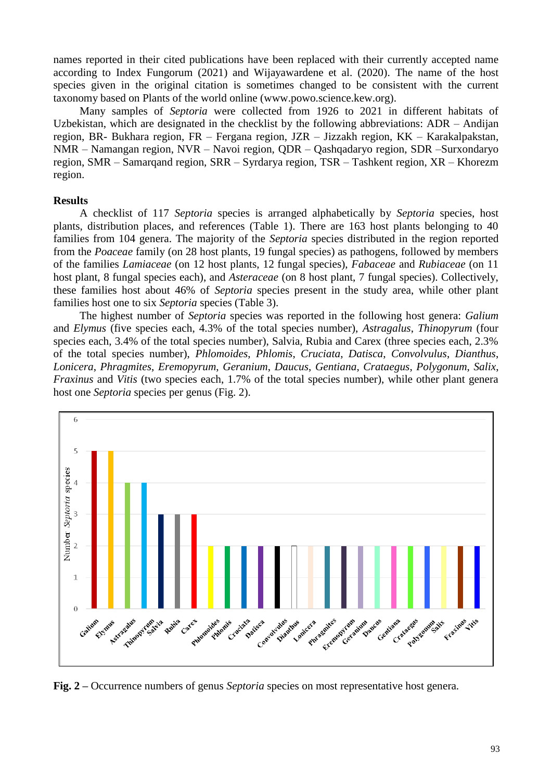names reported in their cited publications have been replaced with their currently accepted name according to Index Fungorum (2021) and Wijayawardene et al. (2020). The name of the host species given in the original citation is sometimes changed to be consistent with the current taxonomy based on Plants of the world online (www.powo.science.kew.org).

Many samples of *Septoria* were collected from 1926 to 2021 in different habitats of Uzbekistan, which are designated in the checklist by the following abbreviations: ADR – Andijan region, BR- Bukhara region, FR – Fergana region, JZR – Jizzakh region, KK – Karakalpakstan, NMR – Namangan region, NVR – Navoi region, QDR – Qashqadaryo region, SDR –Surxondaryo region, SMR – Samarqand region, SRR – Syrdarya region, TSR – Tashkent region, XR – Khorezm region.

#### **Results**

A checklist of 117 *Septoria* species is arranged alphabetically by *Septoria* species, host plants, distribution places, and references (Table 1). There are 163 host plants belonging to 40 families from 104 genera. The majority of the *Septoria* species distributed in the region reported from the *Poaceae* family (on 28 host plants, 19 fungal species) as pathogens, followed by members of the families *Lamiaceae* (on 12 host plants, 12 fungal species), *Fabaceae* and *Rubiaceae* (on 11 host plant, 8 fungal species each), and *Asteraceae* (on 8 host plant, 7 fungal species). Collectively, these families host about 46% of *Septoria* species present in the study area, while other plant families host one to six *Septoria* species (Table 3).

The highest number of *Septoria* species was reported in the following host genera: *Galium* and *Elymus* (five species each, 4.3% of the total species number), *Astragalus*, *Thinopyrum* (four species each, 3.4% of the total species number), Salvia, Rubia and Carex (three species each, 2.3% of the total species number), *Phlomoides*, *Phlomis*, *Cruciata*, *Datisca*, *Convolvulus*, *Dianthus*, *Lonicera*, *Phragmites*, *Eremopyrum*, *Geranium*, *Daucus*, *Gentiana*, *Crataegus*, *Polygonum*, *Salix*, *Fraxinus* and *Vitis* (two species each, 1.7% of the total species number), while other plant genera host one *Septoria* species per genus (Fig. 2).



**Fig. 2 –** Occurrence numbers of genus *Septoria* species on most representative host genera.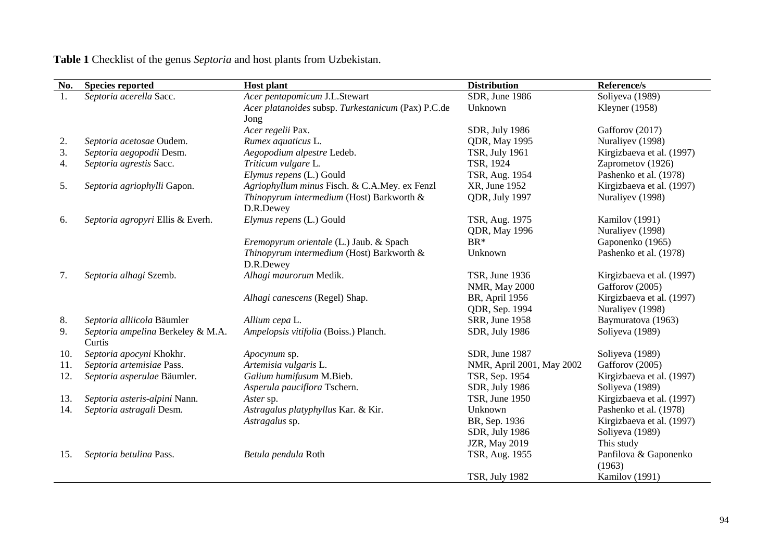| No. | <b>Species reported</b>                     | <b>Host plant</b>                                  | <b>Distribution</b>       | Reference/s               |
|-----|---------------------------------------------|----------------------------------------------------|---------------------------|---------------------------|
| 1.  | Septoria acerella Sacc.                     | Acer pentapomicum J.L.Stewart                      | SDR, June 1986            | Soliyeva (1989)           |
|     |                                             | Acer platanoides subsp. Turkestanicum (Pax) P.C.de | Unknown                   | Kleyner $(1958)$          |
|     |                                             | Jong                                               |                           |                           |
|     |                                             | Acer regelii Pax.                                  | SDR, July 1986            | Gafforov (2017)           |
| 2.  | Septoria acetosae Oudem.                    | Rumex aquaticus L.                                 | <b>QDR</b> , May 1995     | Nuraliyev (1998)          |
| 3.  | Septoria aegopodii Desm.                    | Aegopodium alpestre Ledeb.                         | <b>TSR, July 1961</b>     | Kirgizbaeva et al. (1997) |
| 4.  | Septoria agrestis Sacc.                     | Triticum vulgare L.                                | TSR, 1924                 | Zaprometov (1926)         |
|     |                                             | Elymus repens (L.) Gould                           | TSR, Aug. 1954            | Pashenko et al. (1978)    |
| 5.  | Septoria agriophylli Gapon.                 | Agriophyllum minus Fisch. & C.A.Mey. ex Fenzl      | XR, June 1952             | Kirgizbaeva et al. (1997) |
|     |                                             | Thinopyrum intermedium (Host) Barkworth &          | QDR, July 1997            | Nuraliyev (1998)          |
|     |                                             | D.R.Dewey                                          |                           |                           |
| 6.  | Septoria agropyri Ellis & Everh.            | Elymus repens (L.) Gould                           | TSR, Aug. 1975            | Kamilov (1991)            |
|     |                                             |                                                    | <b>QDR</b> , May 1996     | Nuraliyev (1998)          |
|     |                                             | Eremopyrum orientale (L.) Jaub. & Spach            | BR*                       | Gaponenko (1965)          |
|     |                                             | Thinopyrum intermedium (Host) Barkworth &          | Unknown                   | Pashenko et al. (1978)    |
|     |                                             | D.R.Dewey                                          |                           |                           |
| 7.  | Septoria alhagi Szemb.                      | Alhagi maurorum Medik.                             | TSR, June 1936            | Kirgizbaeva et al. (1997) |
|     |                                             |                                                    | <b>NMR, May 2000</b>      | Gafforov (2005)           |
|     |                                             | Alhagi canescens (Regel) Shap.                     | BR, April 1956            | Kirgizbaeva et al. (1997) |
|     |                                             |                                                    | QDR, Sep. 1994            | Nuraliyev (1998)          |
| 8.  | Septoria alliicola Bäumler                  | Allium cepa L.                                     | SRR, June 1958            | Baymuratova (1963)        |
| 9.  | Septoria ampelina Berkeley & M.A.<br>Curtis | Ampelopsis vitifolia (Boiss.) Planch.              | SDR, July 1986            | Soliyeva (1989)           |
| 10. | Septoria apocyni Khokhr.                    | Apocynum sp.                                       | SDR, June 1987            | Soliyeva (1989)           |
| 11. | Septoria artemisiae Pass.                   | Artemisia vulgaris L.                              | NMR, April 2001, May 2002 | Gafforov (2005)           |
| 12. | Septoria asperulae Bäumler.                 | Galium humifusum M.Bieb.                           | TSR, Sep. 1954            | Kirgizbaeva et al. (1997) |
|     |                                             | Asperula pauciflora Tschern.                       | SDR, July 1986            | Soliyeva (1989)           |
| 13. | Septoria asteris-alpini Nann.               | Aster sp.                                          | TSR, June 1950            | Kirgizbaeva et al. (1997) |
| 14. | Septoria astragali Desm.                    | Astragalus platyphyllus Kar. & Kir.                | Unknown                   | Pashenko et al. (1978)    |
|     |                                             | Astragalus sp.                                     | BR, Sep. 1936             | Kirgizbaeva et al. (1997) |
|     |                                             |                                                    | SDR, July 1986            | Soliyeva (1989)           |
|     |                                             |                                                    | <b>JZR, May 2019</b>      | This study                |
| 15. | Septoria betulina Pass.                     | Betula pendula Roth                                | TSR, Aug. 1955            | Panfilova & Gaponenko     |
|     |                                             |                                                    |                           | (1963)                    |
|     |                                             |                                                    | <b>TSR, July 1982</b>     | Kamilov (1991)            |

**Table 1** Checklist of the genus *Septoria* and host plants from Uzbekistan.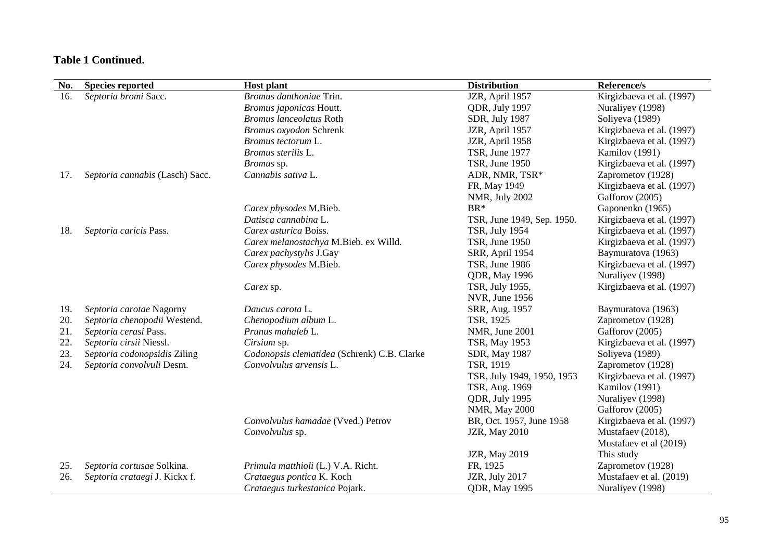| No. | <b>Species reported</b>         | <b>Host plant</b>                           | <b>Distribution</b>        | Reference/s               |
|-----|---------------------------------|---------------------------------------------|----------------------------|---------------------------|
| 16. | Septoria bromi Sacc.            | Bromus danthoniae Trin.                     | JZR, April 1957            | Kirgizbaeva et al. (1997) |
|     |                                 | Bromus japonicas Houtt.                     | QDR, July 1997             | Nuraliyev (1998)          |
|     |                                 | <b>Bromus lanceolatus Roth</b>              | SDR, July 1987             | Soliyeva (1989)           |
|     |                                 | Bromus oxyodon Schrenk                      | JZR, April 1957            | Kirgizbaeva et al. (1997) |
|     |                                 | Bromus tectorum L.                          | JZR, April 1958            | Kirgizbaeva et al. (1997) |
|     |                                 | Bromus sterilis L.                          | TSR, June 1977             | Kamilov (1991)            |
|     |                                 | Bromus sp.                                  | TSR, June 1950             | Kirgizbaeva et al. (1997) |
| 17. | Septoria cannabis (Lasch) Sacc. | Cannabis sativa L.                          | ADR, NMR, TSR*             | Zaprometov (1928)         |
|     |                                 |                                             | FR, May 1949               | Kirgizbaeva et al. (1997) |
|     |                                 |                                             | NMR, July 2002             | Gafforov (2005)           |
|     |                                 | Carex physodes M.Bieb.                      | $BR*$                      | Gaponenko (1965)          |
|     |                                 | Datisca cannabina L.                        | TSR, June 1949, Sep. 1950. | Kirgizbaeva et al. (1997) |
| 18. | Septoria caricis Pass.          | Carex asturica Boiss.                       | <b>TSR, July 1954</b>      | Kirgizbaeva et al. (1997) |
|     |                                 | Carex melanostachya M.Bieb. ex Willd.       | TSR, June 1950             | Kirgizbaeva et al. (1997) |
|     |                                 | Carex pachystylis J.Gay                     | SRR, April 1954            | Baymuratova (1963)        |
|     |                                 | Carex physodes M.Bieb.                      | TSR, June 1986             | Kirgizbaeva et al. (1997) |
|     |                                 |                                             | <b>QDR</b> , May 1996      | Nuraliyev (1998)          |
|     |                                 | Carex sp.                                   | TSR, July 1955,            | Kirgizbaeva et al. (1997) |
|     |                                 |                                             | NVR, June 1956             |                           |
| 19. | Septoria carotae Nagorny        | Daucus carota L.                            | SRR, Aug. 1957             | Baymuratova (1963)        |
| 20. | Septoria chenopodii Westend.    | Chenopodium album L.                        | TSR, 1925                  | Zaprometov (1928)         |
| 21. | Septoria cerasi Pass.           | Prunus mahaleb L.                           | NMR, June 2001             | Gafforov (2005)           |
| 22. | Septoria cirsii Niessl.         | Cirsium sp.                                 | TSR, May 1953              | Kirgizbaeva et al. (1997) |
| 23. | Septoria codonopsidis Ziling    | Codonopsis clematidea (Schrenk) C.B. Clarke | SDR, May 1987              | Soliyeva (1989)           |
| 24. | Septoria convolvuli Desm.       | Convolvulus arvensis L.                     | TSR, 1919                  | Zaprometov (1928)         |
|     |                                 |                                             | TSR, July 1949, 1950, 1953 | Kirgizbaeva et al. (1997) |
|     |                                 |                                             | TSR, Aug. 1969             | Kamilov (1991)            |
|     |                                 |                                             | QDR, July 1995             | Nuraliyev (1998)          |
|     |                                 |                                             | <b>NMR, May 2000</b>       | Gafforov (2005)           |
|     |                                 | Convolvulus hamadae (Vved.) Petrov          | BR, Oct. 1957, June 1958   | Kirgizbaeva et al. (1997) |
|     |                                 | Convolvulus sp.                             | <b>JZR, May 2010</b>       | Mustafaev (2018),         |
|     |                                 |                                             |                            | Mustafaev et al (2019)    |
|     |                                 |                                             | <b>JZR, May 2019</b>       | This study                |
| 25. | Septoria cortusae Solkina.      | Primula matthioli (L.) V.A. Richt.          | FR, 1925                   | Zaprometov (1928)         |
| 26. | Septoria crataegi J. Kickx f.   | Crataegus pontica K. Koch                   | JZR, July 2017             | Mustafaev et al. (2019)   |
|     |                                 | Crataegus turkestanica Pojark.              | <b>QDR</b> , May 1995      | Nuraliyev (1998)          |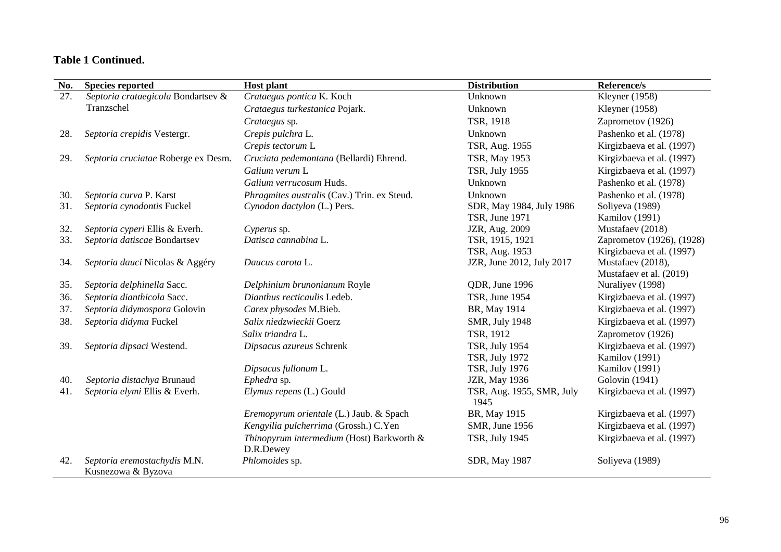| No. | <b>Species reported</b>                            | <b>Host plant</b>                                      | <b>Distribution</b>               | Reference/s               |
|-----|----------------------------------------------------|--------------------------------------------------------|-----------------------------------|---------------------------|
| 27. | Septoria crataegicola Bondartsev &                 | Crataegus pontica K. Koch                              | Unknown                           | Kleyner (1958)            |
|     | Tranzschel                                         | Crataegus turkestanica Pojark.                         | Unknown                           | Kleyner (1958)            |
|     |                                                    | Crataegus sp.                                          | TSR, 1918                         | Zaprometov (1926)         |
| 28. | Septoria crepidis Vestergr.                        | Crepis pulchra L.                                      | Unknown                           | Pashenko et al. (1978)    |
|     |                                                    | Crepis tectorum L                                      | TSR, Aug. 1955                    | Kirgizbaeva et al. (1997) |
| 29. | Septoria cruciatae Roberge ex Desm.                | Cruciata pedemontana (Bellardi) Ehrend.                | TSR, May 1953                     | Kirgizbaeva et al. (1997) |
|     |                                                    | Galium verum L                                         | <b>TSR, July 1955</b>             | Kirgizbaeva et al. (1997) |
|     |                                                    | Galium verrucosum Huds.                                | Unknown                           | Pashenko et al. (1978)    |
| 30. | Septoria curva P. Karst                            | Phragmites australis (Cav.) Trin. ex Steud.            | Unknown                           | Pashenko et al. (1978)    |
| 31. | Septoria cynodontis Fuckel                         | Cynodon dactylon (L.) Pers.                            | SDR, May 1984, July 1986          | Soliyeva (1989)           |
|     |                                                    |                                                        | <b>TSR, June 1971</b>             | Kamilov (1991)            |
| 32. | Septoria cyperi Ellis & Everh.                     | Cyperus sp.                                            | JZR, Aug. 2009                    | Mustafaev (2018)          |
| 33. | Septoria datiscae Bondartsev                       | Datisca cannabina L.                                   | TSR, 1915, 1921                   | Zaprometov (1926), (1928) |
|     |                                                    |                                                        | TSR, Aug. 1953                    | Kirgizbaeva et al. (1997) |
| 34. | Septoria dauci Nicolas & Aggéry                    | Daucus carota L.                                       | JZR, June 2012, July 2017         | Mustafaev (2018),         |
|     |                                                    |                                                        |                                   | Mustafaev et al. (2019)   |
| 35. | Septoria delphinella Sacc.                         | Delphinium brunonianum Royle                           | QDR, June 1996                    | Nuraliyev (1998)          |
| 36. | Septoria dianthicola Sacc.                         | Dianthus recticaulis Ledeb.                            | TSR, June 1954                    | Kirgizbaeva et al. (1997) |
| 37. | Septoria didymospora Golovin                       | Carex physodes M.Bieb.                                 | BR, May 1914                      | Kirgizbaeva et al. (1997) |
| 38. | Septoria didyma Fuckel                             | Salix niedzwieckii Goerz                               | <b>SMR, July 1948</b>             | Kirgizbaeva et al. (1997) |
|     |                                                    | Salix triandra L.                                      | TSR, 1912                         | Zaprometov (1926)         |
| 39. | Septoria dipsaci Westend.                          | Dipsacus azureus Schrenk                               | <b>TSR, July 1954</b>             | Kirgizbaeva et al. (1997) |
|     |                                                    |                                                        | <b>TSR, July 1972</b>             | Kamilov (1991)            |
|     |                                                    | Dipsacus fullonum L.                                   | <b>TSR, July 1976</b>             | Kamilov (1991)            |
| 40. | Septoria distachya Brunaud                         | Ephedra sp.                                            | JZR, May 1936                     | Golovin (1941)            |
| 41. | Septoria elymi Ellis & Everh.                      | Elymus repens (L.) Gould                               | TSR, Aug. 1955, SMR, July<br>1945 | Kirgizbaeva et al. (1997) |
|     |                                                    | Eremopyrum orientale (L.) Jaub. & Spach                | BR, May 1915                      | Kirgizbaeva et al. (1997) |
|     |                                                    | Kengyilia pulcherrima (Grossh.) C.Yen                  | SMR, June 1956                    | Kirgizbaeva et al. (1997) |
|     |                                                    | Thinopyrum intermedium (Host) Barkworth &<br>D.R.Dewey | <b>TSR, July 1945</b>             | Kirgizbaeva et al. (1997) |
| 42. | Septoria eremostachydis M.N.<br>Kusnezowa & Byzova | Phlomoides sp.                                         | SDR, May 1987                     | Soliyeva (1989)           |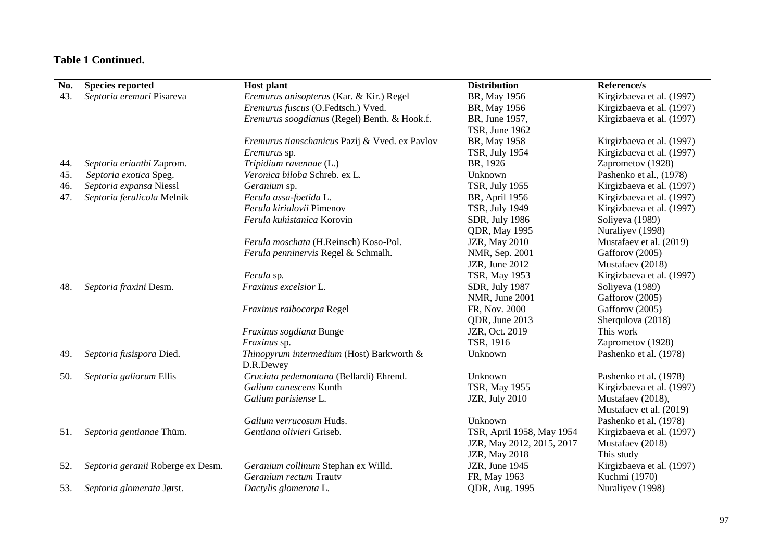| No. | <b>Species reported</b>           | <b>Host plant</b>                              | <b>Distribution</b>       | Reference/s               |
|-----|-----------------------------------|------------------------------------------------|---------------------------|---------------------------|
| 43. | Septoria eremuri Pisareva         | Eremurus anisopterus (Kar. & Kir.) Regel       | BR, May 1956              | Kirgizbaeva et al. (1997) |
|     |                                   | Eremurus fuscus (O.Fedtsch.) Vved.             | BR, May 1956              | Kirgizbaeva et al. (1997) |
|     |                                   | Eremurus soogdianus (Regel) Benth. & Hook.f.   | BR, June 1957,            | Kirgizbaeva et al. (1997) |
|     |                                   |                                                | TSR, June 1962            |                           |
|     |                                   | Eremurus tianschanicus Pazij & Vved. ex Pavlov | BR, May 1958              | Kirgizbaeva et al. (1997) |
|     |                                   | Eremurus sp.                                   | <b>TSR, July 1954</b>     | Kirgizbaeva et al. (1997) |
| 44. | Septoria erianthi Zaprom.         | Tripidium ravennae (L.)                        | BR, 1926                  | Zaprometov (1928)         |
| 45. | Septoria exotica Speg.            | Veronica biloba Schreb. ex L.                  | Unknown                   | Pashenko et al., (1978)   |
| 46. | Septoria expansa Niessl           | Geranium sp.                                   | <b>TSR, July 1955</b>     | Kirgizbaeva et al. (1997) |
| 47. | Septoria ferulicola Melnik        | Ferula assa-foetida L.                         | BR, April 1956            | Kirgizbaeva et al. (1997) |
|     |                                   | Ferula kirialovii Pimenov                      | <b>TSR, July 1949</b>     | Kirgizbaeva et al. (1997) |
|     |                                   | Ferula kuhistanica Korovin                     | SDR, July 1986            | Soliyeva (1989)           |
|     |                                   |                                                | <b>QDR</b> , May 1995     | Nuraliyev (1998)          |
|     |                                   | Ferula moschata (H.Reinsch) Koso-Pol.          | <b>JZR, May 2010</b>      | Mustafaev et al. (2019)   |
|     |                                   | Ferula penninervis Regel & Schmalh.            | NMR, Sep. 2001            | Gafforov (2005)           |
|     |                                   |                                                | JZR, June 2012            | Mustafaev (2018)          |
|     |                                   | Ferula sp.                                     | TSR, May 1953             | Kirgizbaeva et al. (1997) |
| 48. | Septoria fraxini Desm.            | Fraxinus excelsior L.                          | SDR, July 1987            | Soliyeva (1989)           |
|     |                                   |                                                | NMR, June 2001            | Gafforov (2005)           |
|     |                                   | Fraxinus raibocarpa Regel                      | FR, Nov. 2000             | Gafforov (2005)           |
|     |                                   |                                                | QDR, June 2013            | Sherqulova (2018)         |
|     |                                   | Fraxinus sogdiana Bunge                        | JZR, Oct. 2019            | This work                 |
|     |                                   | Fraxinus sp.                                   | TSR, 1916                 | Zaprometov (1928)         |
| 49. | Septoria fusispora Died.          | Thinopyrum intermedium (Host) Barkworth &      | Unknown                   | Pashenko et al. (1978)    |
|     |                                   | D.R.Dewey                                      |                           |                           |
| 50. | Septoria galiorum Ellis           | Cruciata pedemontana (Bellardi) Ehrend.        | Unknown                   | Pashenko et al. (1978)    |
|     |                                   | Galium canescens Kunth                         | TSR, May 1955             | Kirgizbaeva et al. (1997) |
|     |                                   | Galium parisiense L.                           | JZR, July 2010            | Mustafaev (2018),         |
|     |                                   |                                                |                           | Mustafaev et al. (2019)   |
|     |                                   | Galium verrucosum Huds.                        | Unknown                   | Pashenko et al. (1978)    |
| 51. | Septoria gentianae Thüm.          | Gentiana olivieri Griseb.                      | TSR, April 1958, May 1954 | Kirgizbaeva et al. (1997) |
|     |                                   |                                                | JZR, May 2012, 2015, 2017 | Mustafaev (2018)          |
|     |                                   |                                                | <b>JZR</b> , May 2018     | This study                |
| 52. | Septoria geranii Roberge ex Desm. | Geranium collinum Stephan ex Willd.            | JZR, June 1945            | Kirgizbaeva et al. (1997) |
|     |                                   | Geranium rectum Trauty                         | FR, May 1963              | Kuchmi (1970)             |
| 53. | Septoria glomerata Jørst.         | Dactylis glomerata L.                          | QDR, Aug. 1995            | Nuraliyev (1998)          |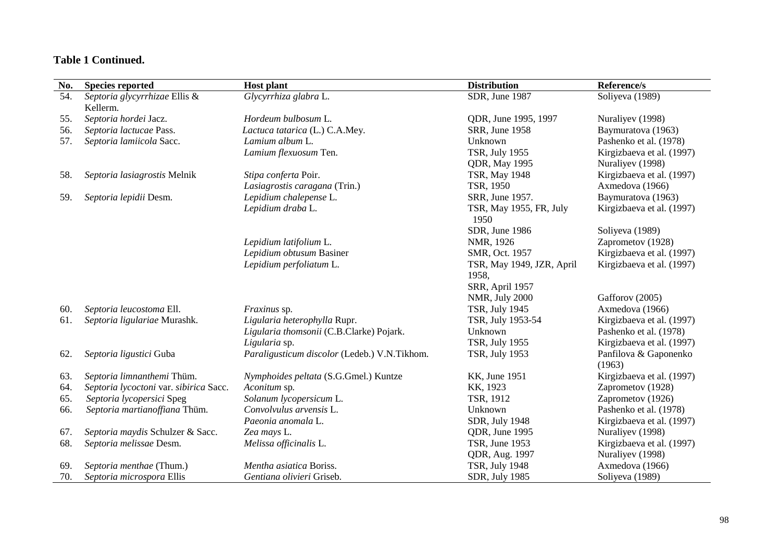| No. | <b>Species reported</b>                | <b>Distribution</b><br><b>Host plant</b>     |                                    | Reference/s                     |
|-----|----------------------------------------|----------------------------------------------|------------------------------------|---------------------------------|
| 54. | Septoria glycyrrhizae Ellis &          | Glycyrrhiza glabra L.                        | SDR, June 1987                     | Soliyeva (1989)                 |
|     | Kellerm.                               |                                              |                                    |                                 |
| 55. | Septoria hordei Jacz.                  | Hordeum bulbosum L.                          | QDR, June 1995, 1997               | Nuraliyev (1998)                |
| 56. | Septoria lactucae Pass.                | Lactuca tatarica (L.) C.A.Mey.               | SRR, June 1958                     | Baymuratova (1963)              |
| 57. | Septoria lamiicola Sacc.               | Lamium album L.                              | Unknown                            | Pashenko et al. (1978)          |
|     |                                        | Lamium flexuosum Ten.                        | <b>TSR, July 1955</b>              | Kirgizbaeva et al. (1997)       |
|     |                                        |                                              | <b>QDR</b> , May 1995              | Nuraliyev (1998)                |
| 58. | Septoria lasiagrostis Melnik           | Stipa conferta Poir.                         | TSR, May 1948                      | Kirgizbaeva et al. (1997)       |
|     |                                        | Lasiagrostis caragana (Trin.)                | TSR, 1950                          | Axmedova (1966)                 |
| 59. | Septoria lepidii Desm.                 | Lepidium chalepense L.                       | SRR, June 1957.                    | Baymuratova (1963)              |
|     |                                        | Lepidium draba L.                            | TSR, May 1955, FR, July<br>1950    | Kirgizbaeva et al. (1997)       |
|     |                                        |                                              | SDR, June 1986                     | Soliyeva (1989)                 |
|     |                                        | Lepidium latifolium L.                       | NMR, 1926                          | Zaprometov (1928)               |
|     |                                        | Lepidium obtusum Basiner                     | SMR, Oct. 1957                     | Kirgizbaeva et al. (1997)       |
|     |                                        | Lepidium perfoliatum L.                      | TSR, May 1949, JZR, April<br>1958, | Kirgizbaeva et al. (1997)       |
|     |                                        |                                              | SRR, April 1957                    |                                 |
|     |                                        |                                              | NMR, July 2000                     | Gafforov (2005)                 |
| 60. | Septoria leucostoma Ell.               | Fraxinus sp.                                 | <b>TSR, July 1945</b>              | Axmedova (1966)                 |
| 61. | Septoria ligulariae Murashk.           | Ligularia heterophylla Rupr.                 | TSR, July 1953-54                  | Kirgizbaeva et al. (1997)       |
|     |                                        | Ligularia thomsonii (C.B.Clarke) Pojark.     | Unknown                            | Pashenko et al. (1978)          |
|     |                                        | Ligularia sp.                                | <b>TSR, July 1955</b>              | Kirgizbaeva et al. (1997)       |
| 62. | Septoria ligustici Guba                | Paraligusticum discolor (Ledeb.) V.N.Tikhom. | <b>TSR, July 1953</b>              | Panfilova & Gaponenko<br>(1963) |
| 63. | Septoria limnanthemi Thüm.             | Nymphoides peltata (S.G.Gmel.) Kuntze        | <b>KK, June 1951</b>               | Kirgizbaeva et al. (1997)       |
| 64. | Septoria lycoctoni var. sibirica Sacc. | Aconitum sp.                                 | KK, 1923                           | Zaprometov (1928)               |
| 65. | Septoria lycopersici Speg              | Solanum lycopersicum L.                      | TSR, 1912                          | Zaprometov (1926)               |
| 66. | Septoria martianoffiana Thüm.          | Convolvulus arvensis L.                      | Unknown                            | Pashenko et al. (1978)          |
|     |                                        | Paeonia anomala L.                           | SDR, July 1948                     | Kirgizbaeva et al. (1997)       |
| 67. | Septoria maydis Schulzer & Sacc.       | Zea mays L.                                  | QDR, June 1995                     | Nuraliyev (1998)                |
| 68. | Septoria melissae Desm.                | Melissa officinalis L.                       | <b>TSR, June 1953</b>              | Kirgizbaeva et al. (1997)       |
|     |                                        |                                              | QDR, Aug. 1997                     | Nuraliyev (1998)                |
| 69. | Septoria menthae (Thum.)               | Mentha asiatica Boriss.                      | <b>TSR, July 1948</b>              | Axmedova (1966)                 |
| 70. | Septoria microspora Ellis              | Gentiana olivieri Griseb.                    | SDR, July 1985                     | Soliyeva (1989)                 |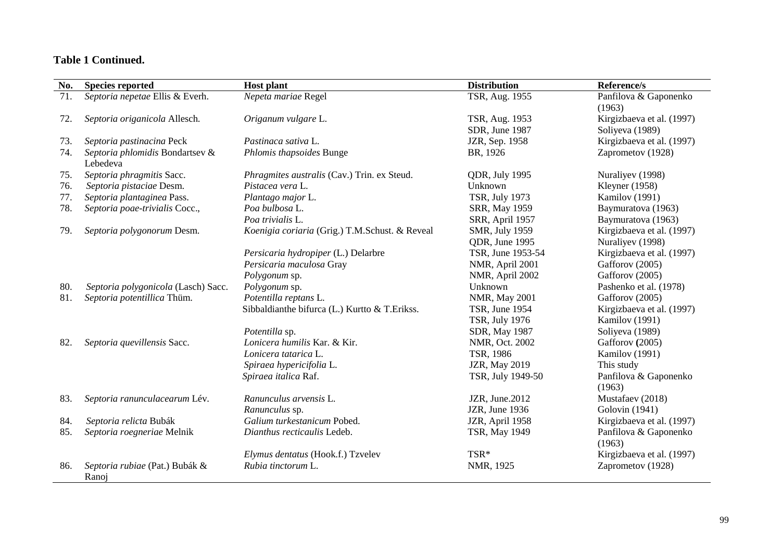| No. | <b>Species reported</b>                     | <b>Host plant</b>                              | <b>Distribution</b>                     | Reference/s                                   |
|-----|---------------------------------------------|------------------------------------------------|-----------------------------------------|-----------------------------------------------|
| 71. | Septoria nepetae Ellis & Everh.             | Nepeta mariae Regel                            | <b>TSR, Aug. 1955</b>                   | Panfilova & Gaponenko<br>(1963)               |
| 72. | Septoria origanicola Allesch.               | Origanum vulgare L.                            | TSR, Aug. 1953<br>SDR, June 1987        | Kirgizbaeva et al. (1997)<br>Soliyeva (1989)  |
| 73. | Septoria pastinacina Peck                   | Pastinaca sativa L.                            | JZR, Sep. 1958                          | Kirgizbaeva et al. (1997)                     |
| 74. | Septoria phlomidis Bondartsev &<br>Lebedeva | Phlomis thapsoides Bunge                       | BR, 1926                                | Zaprometov (1928)                             |
| 75. | Septoria phragmitis Sacc.                   | Phragmites australis (Cav.) Trin. ex Steud.    | QDR, July 1995                          | Nuraliyev (1998)                              |
| 76. | Septoria pistaciae Desm.                    | Pistacea vera L.                               | Unknown                                 | Kleyner $(1958)$                              |
| 77. | Septoria plantaginea Pass.                  | Plantago major L.                              | <b>TSR, July 1973</b>                   | Kamilov (1991)                                |
| 78. | Septoria poae-trivialis Cocc.,              | Poa bulbosa L.                                 | SRR, May 1959                           | Baymuratova (1963)                            |
|     |                                             | Poa trivialis L.                               | SRR, April 1957                         | Baymuratova (1963)                            |
| 79. | Septoria polygonorum Desm.                  | Koenigia coriaria (Grig.) T.M.Schust. & Reveal | <b>SMR, July 1959</b>                   | Kirgizbaeva et al. (1997)                     |
|     |                                             | Persicaria hydropiper (L.) Delarbre            | QDR, June 1995<br>TSR, June 1953-54     | Nuraliyev (1998)<br>Kirgizbaeva et al. (1997) |
|     |                                             | Persicaria maculosa Gray                       | NMR, April 2001                         | Gafforov (2005)                               |
|     |                                             | Polygonum sp.                                  | NMR, April 2002                         | Gafforov (2005)                               |
| 80. | Septoria polygonicola (Lasch) Sacc.         | Polygonum sp.                                  | Unknown                                 | Pashenko et al. (1978)                        |
| 81. | Septoria potentillica Thüm.                 | Potentilla reptans L.                          | NMR, May 2001                           | Gafforov (2005)                               |
|     |                                             | Sibbaldianthe bifurca (L.) Kurtto & T. Erikss. | TSR, June 1954<br><b>TSR, July 1976</b> | Kirgizbaeva et al. (1997)<br>Kamilov (1991)   |
|     |                                             | Potentilla sp.                                 | SDR, May 1987                           | Soliyeva (1989)                               |
| 82. | Septoria quevillensis Sacc.                 | Lonicera humilis Kar. & Kir.                   | NMR, Oct. 2002                          | Gafforov (2005)                               |
|     |                                             | Lonicera tatarica L.                           | TSR, 1986                               | Kamilov (1991)                                |
|     |                                             | Spiraea hypericifolia L.                       | <b>JZR, May 2019</b>                    | This study                                    |
|     |                                             | Spiraea italica Raf.                           | TSR, July 1949-50                       | Panfilova & Gaponenko<br>(1963)               |
| 83. | Septoria ranunculacearum Lév.               | Ranunculus arvensis L.                         | JZR, June.2012                          | Mustafaev (2018)                              |
|     |                                             | Ranunculus sp.                                 | JZR, June 1936                          | Golovin (1941)                                |
| 84. | Septoria relicta Bubák                      | Galium turkestanicum Pobed.                    | JZR, April 1958                         | Kirgizbaeva et al. (1997)                     |
| 85. | Septoria roegneriae Melnik                  | Dianthus recticaulis Ledeb.                    | TSR, May 1949                           | Panfilova & Gaponenko<br>(1963)               |
|     |                                             | Elymus dentatus (Hook.f.) Tzvelev              | TSR*                                    | Kirgizbaeva et al. (1997)                     |
| 86. | Septoria rubiae (Pat.) Bubák &<br>Ranoj     | Rubia tinctorum L.                             | NMR, 1925                               | Zaprometov (1928)                             |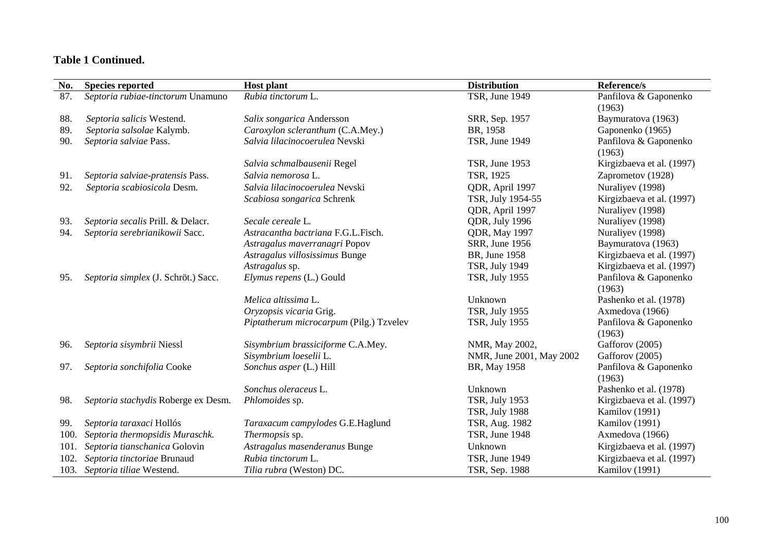| No.  | <b>Species reported</b>             | <b>Host plant</b>                       | <b>Distribution</b>      | Reference/s                     |
|------|-------------------------------------|-----------------------------------------|--------------------------|---------------------------------|
| 87.  | Septoria rubiae-tinctorum Unamuno   | Rubia tinctorum L.                      | TSR, June 1949           | Panfilova & Gaponenko           |
|      |                                     |                                         |                          | (1963)                          |
| 88.  | Septoria salicis Westend.           | Salix songarica Andersson               | SRR, Sep. 1957           | Baymuratova (1963)              |
| 89.  | Septoria salsolae Kalymb.           | Caroxylon scleranthum (C.A.Mey.)        | BR, 1958                 | Gaponenko (1965)                |
| 90.  | Septoria salviae Pass.              | Salvia lilacinocoerulea Nevski          | <b>TSR, June 1949</b>    | Panfilova & Gaponenko<br>(1963) |
|      |                                     | Salvia schmalbausenii Regel             | TSR, June 1953           | Kirgizbaeva et al. (1997)       |
| 91.  | Septoria salviae-pratensis Pass.    | Salvia nemorosa L.                      | TSR, 1925                | Zaprometov (1928)               |
| 92.  | Septoria scabiosicola Desm.         | Salvia lilacinocoerulea Nevski          | QDR, April 1997          | Nuraliyev (1998)                |
|      |                                     | Scabiosa songarica Schrenk              | TSR, July 1954-55        | Kirgizbaeva et al. (1997)       |
|      |                                     |                                         | QDR, April 1997          | Nuraliyev (1998)                |
| 93.  | Septoria secalis Prill. & Delacr.   | Secale cereale L.                       | QDR, July 1996           | Nuraliyev (1998)                |
| 94.  | Septoria serebrianikowii Sacc.      | Astracantha bactriana F.G.L.Fisch.      | <b>QDR</b> , May 1997    | Nuraliyev (1998)                |
|      |                                     | Astragalus maverranagri Popov           | SRR, June 1956           | Baymuratova (1963)              |
|      |                                     | Astragalus villosissimus Bunge          | BR, June 1958            | Kirgizbaeva et al. (1997)       |
|      |                                     | Astragalus sp.                          | <b>TSR, July 1949</b>    | Kirgizbaeva et al. (1997)       |
| 95.  | Septoria simplex (J. Schröt.) Sacc. | Elymus repens (L.) Gould                | <b>TSR, July 1955</b>    | Panfilova & Gaponenko<br>(1963) |
|      |                                     | Melica altissima L.                     | Unknown                  | Pashenko et al. (1978)          |
|      |                                     | Oryzopsis vicaria Grig.                 | <b>TSR, July 1955</b>    | Axmedova (1966)                 |
|      |                                     | Piptatherum microcarpum (Pilg.) Tzvelev | <b>TSR, July 1955</b>    | Panfilova & Gaponenko           |
|      |                                     |                                         |                          | (1963)                          |
| 96.  | Septoria sisymbrii Niessl           | Sisymbrium brassiciforme C.A.Mey.       | NMR, May 2002,           | Gafforov (2005)                 |
|      |                                     | Sisymbrium loeselii L.                  | NMR, June 2001, May 2002 | Gafforov (2005)                 |
| 97.  | Septoria sonchifolia Cooke          | Sonchus asper (L.) Hill                 | BR, May 1958             | Panfilova & Gaponenko<br>(1963) |
|      |                                     | Sonchus oleraceus L.                    | Unknown                  | Pashenko et al. (1978)          |
| 98.  | Septoria stachydis Roberge ex Desm. | Phlomoides sp.                          | <b>TSR, July 1953</b>    | Kirgizbaeva et al. (1997)       |
|      |                                     |                                         | <b>TSR, July 1988</b>    | Kamilov (1991)                  |
| 99.  | Septoria taraxaci Hollós            | Taraxacum campylodes G.E.Haglund        | TSR, Aug. 1982           | Kamilov (1991)                  |
| 100. | Septoria thermopsidis Muraschk.     | Thermopsis sp.                          | TSR, June 1948           | Axmedova (1966)                 |
| 101. | Septoria tianschanica Golovin       | Astragalus masenderanus Bunge           | Unknown                  | Kirgizbaeva et al. (1997)       |
| 102. | Septoria tinctoriae Brunaud         | Rubia tinctorum L.                      | TSR, June 1949           | Kirgizbaeva et al. (1997)       |
|      | 103. Septoria tiliae Westend.       | Tilia rubra (Weston) DC.                | TSR, Sep. 1988           | Kamilov (1991)                  |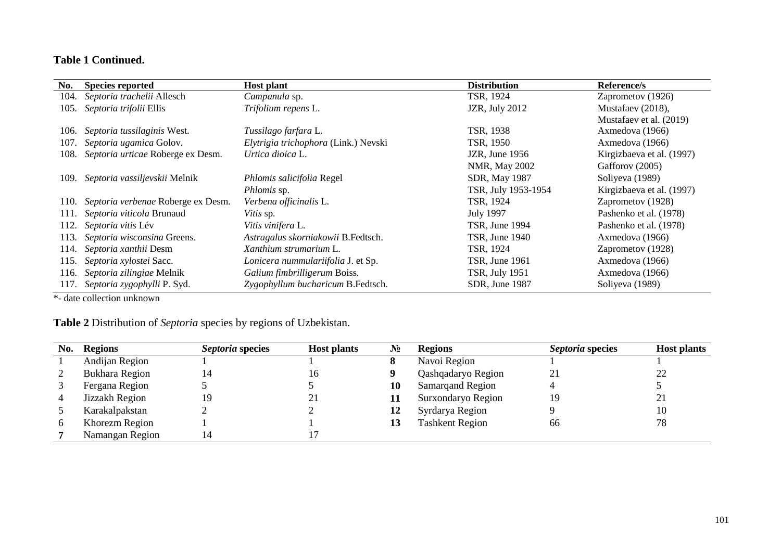| No.  | <b>Species reported</b>                 | <b>Host plant</b>                    | <b>Distribution</b>   |                           |
|------|-----------------------------------------|--------------------------------------|-----------------------|---------------------------|
| 104. | Septoria trachelii Allesch              | Campanula sp.                        | TSR, 1924             | Zaprometov (1926)         |
| 105. | Septoria trifolii Ellis                 | Trifolium repens L.                  | JZR, July 2012        | Mustafaev (2018),         |
|      |                                         |                                      |                       | Mustafaev et al. (2019)   |
| 106. | Septoria tussilaginis West.             | Tussilago farfara L.                 | TSR, 1938             | Axmedova (1966)           |
| 107. | Septoria ugamica Golov.                 | Elytrigia trichophora (Link.) Nevski | TSR, 1950             | Axmedova (1966)           |
| 108. | Septoria urticae Roberge ex Desm.       | Urtica dioica L.                     | JZR, June 1956        | Kirgizbaeva et al. (1997) |
|      |                                         |                                      | <b>NMR, May 2002</b>  | Gafforov (2005)           |
|      | 109. Septoria vassiljevskii Melnik      | Phlomis salicifolia Regel            | SDR, May 1987         | Soliyeva (1989)           |
|      |                                         | <i>Phlomis</i> sp.                   | TSR, July 1953-1954   | Kirgizbaeva et al. (1997) |
|      | 110. Septoria verbenae Roberge ex Desm. | Verbena officinalis L.               | TSR, 1924             | Zaprometov (1928)         |
|      | 111. Septoria viticola Brunaud          | Vitis sp.                            | <b>July 1997</b>      | Pashenko et al. (1978)    |
|      | 112. Septoria vitis Lév                 | <i>Vitis vinifera L.</i>             | TSR, June 1994        | Pashenko et al. (1978)    |
| 113. | Septoria wisconsina Greens.             | Astragalus skorniakowii B.Fedtsch.   | TSR, June 1940        | Axmedova (1966)           |
|      | 114. Septoria xanthii Desm              | Xanthium strumarium L.               | TSR, 1924             | Zaprometov (1928)         |
| 115. | Septoria xylostei Sacc.                 | Lonicera nummulariifolia J. et Sp.   | <b>TSR, June 1961</b> | Axmedova (1966)           |
| 116. | Septoria zilingiae Melnik               | Galium fimbrilligerum Boiss.         | <b>TSR, July 1951</b> | Axmedova (1966)           |
|      | 117. Septoria zygophylli P. Syd.        | Zygophyllum bucharicum B.Fedtsch.    | SDR, June 1987        | Soliyeva (1989)           |

\*- date collection unknown

**Table 2** Distribution of *Septoria* species by regions of Uzbekistan.

| No.          | Regions         | Septoria species | <b>Host plants</b> | $\mathbf{N_2}$ | <b>Regions</b>          | Septoria species | <b>Host plants</b> |
|--------------|-----------------|------------------|--------------------|----------------|-------------------------|------------------|--------------------|
|              | Andijan Region  |                  |                    |                | Navoi Region            |                  |                    |
|              | Bukhara Region  |                  | 10.                |                | Qashqadaryo Region      | $2^{\cdot}$      | ∸                  |
|              | Fergana Region  |                  |                    | 10             | <b>Samarqand Region</b> |                  |                    |
| 4            | Jizzakh Region  |                  |                    | 11             | Surxondaryo Region      | 19               | ∸                  |
|              | Karakalpakstan  |                  |                    | 12             | Syrdarya Region         |                  |                    |
| <sub>0</sub> | Khorezm Region  |                  |                    | 13             | <b>Tashkent Region</b>  | 66               |                    |
|              | Namangan Region |                  |                    |                |                         |                  |                    |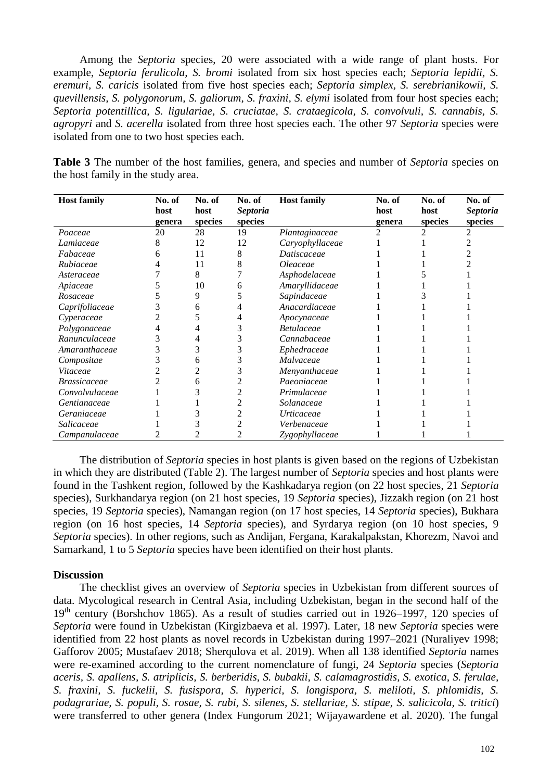Among the *Septoria* species, 20 were associated with a wide range of plant hosts. For example, *Septoria ferulicola, S. bromi* isolated from six host species each; *Septoria lepidii, S. eremuri, S. caricis* isolated from five host species each; *Septoria simplex, S. serebrianikowii, S. quevillensis, S. polygonorum, S. galiorum, S. fraxini, S. elymi* isolated from four host species each; *Septoria potentillica, S. ligulariae, S. cruciatae, S. crataegicola, S. convolvuli, S. cannabis, S. agropyri* and *S. acerella* isolated from three host species each. The other 97 *Septoria* species were isolated from one to two host species each.

**Table 3** The number of the host families, genera, and species and number of *Septoria* species on the host family in the study area.

| <b>Host family</b>         | No. of | No. of  | No. of          | <b>Host family</b> | No. of | No. of  | No. of          |
|----------------------------|--------|---------|-----------------|--------------------|--------|---------|-----------------|
|                            | host   | host    | <i>Septoria</i> |                    | host   | host    | <i>Septoria</i> |
|                            | genera | species | species         |                    | genera | species | species         |
| Poaceae                    | 20     | 28      | 19              | Plantaginaceae     |        | 2       |                 |
| Lamiaceae                  | 8      | 12      | 12              | Caryophyllaceae    |        |         |                 |
| Fabaceae                   | h      | 11      | 8               | Datiscaceae        |        |         |                 |
| Rubiaceae                  |        | 11      | 8               | Oleaceae           |        |         |                 |
| Asteraceae                 |        | 8       |                 | Asphodelaceae      |        |         |                 |
| Apiaceae                   |        | 10      |                 | Amaryllidaceae     |        |         |                 |
| Rosaceae                   |        | 9       |                 | Sapindaceae        |        |         |                 |
| Caprifoliaceae             |        | h       |                 | Anacardiaceae      |        |         |                 |
| Cyperaceae                 |        |         |                 | Apocynaceae        |        |         |                 |
| Polygonaceae               |        |         |                 | <b>Betulaceae</b>  |        |         |                 |
| Ranunculaceae              |        |         |                 | Cannabaceae        |        |         |                 |
| Amaranthaceae              |        |         |                 | Ephedraceae        |        |         |                 |
| Compositae                 |        | h       |                 | Malvaceae          |        |         |                 |
| Vitaceae                   |        |         |                 | Menyanthaceae      |        |         |                 |
| <i><b>Brassicaceae</b></i> |        | 6       |                 | Paeoniaceae        |        |         |                 |
| Convolvulaceae             |        |         |                 | Primulaceae        |        |         |                 |
| Gentianaceae               |        |         |                 | Solanaceae         |        |         |                 |
| Geraniaceae                |        |         |                 | <i>Urticaceae</i>  |        |         |                 |
| Salicaceae                 |        |         |                 | Verbenaceae        |        |         |                 |
| Campanulaceae              |        |         |                 | Zygophyllaceae     |        |         |                 |

The distribution of *Septoria* species in host plants is given based on the regions of Uzbekistan in which they are distributed (Table 2). The largest number of *Septoria* species and host plants were found in the Tashkent region, followed by the Kashkadarya region (on 22 host species, 21 *Septoria* species), Surkhandarya region (on 21 host species, 19 *Septoria* species), Jizzakh region (on 21 host species, 19 *Septoria* species), Namangan region (on 17 host species, 14 *Septoria* species), Bukhara region (on 16 host species, 14 *Septoria* species), and Syrdarya region (on 10 host species, 9 *Septoria* species). In other regions, such as Andijan, Fergana, Karakalpakstan, Khorezm, Navoi and Samarkand, 1 to 5 *Septoria* species have been identified on their host plants.

#### **Discussion**

The checklist gives an overview of *Septoria* species in Uzbekistan from different sources of data. Mycological research in Central Asia, including Uzbekistan, began in the second half of the  $19<sup>th</sup>$  century (Borshchov 1865). As a result of studies carried out in 1926–1997, 120 species of *Septoria* were found in Uzbekistan (Kirgizbaeva et al. 1997). Later, 18 new *Septoria* species were identified from 22 host plants as novel records in Uzbekistan during 1997–2021 (Nuraliyev 1998; Gafforov 2005; Mustafaev 2018; Sherqulova et al. 2019). When all 138 identified *Septoria* names were re-examined according to the current nomenclature of fungi, 24 *Septoria* species (*Septoria aceris, S. apallens, S. atriplicis, S. berberidis, S. bubakii, S. calamagrostidis, S. exotica, S. ferulae, S. fraxini, S. fuckelii, S. fusispora, S. hyperici, S. longispora, S. meliloti, S. phlomidis, S. podagrariae, S. populi, S. rosae, S. rubi, S. silenes, S. stellariae, S. stipae, S. salicicola, S. tritici*) were transferred to other genera (Index Fungorum 2021; Wijayawardene et al. 2020). The fungal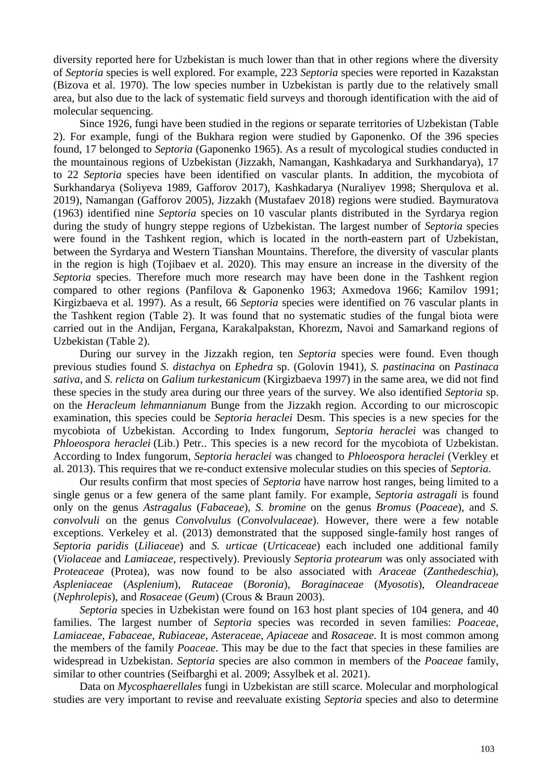diversity reported here for Uzbekistan is much lower than that in other regions where the diversity of *Septoria* species is well explored. For example, 223 *Septoria* species were reported in Kazakstan (Bizova et al. 1970). The low species number in Uzbekistan is partly due to the relatively small area, but also due to the lack of systematic field surveys and thorough identification with the aid of molecular sequencing.

Since 1926, fungi have been studied in the regions or separate territories of Uzbekistan (Table 2). For example, fungi of the Bukhara region were studied by Gaponenko. Of the 396 species found, 17 belonged to *Septoria* (Gaponenko 1965). As a result of mycological studies conducted in the mountainous regions of Uzbekistan (Jizzakh, Namangan, Kashkadarya and Surkhandarya), 17 to 22 *Septoria* species have been identified on vascular plants. In addition, the mycobiota of Surkhandarya (Soliyeva 1989, Gafforov 2017), Kashkadarya (Nuraliyev 1998; Sherqulova et al. 2019), Namangan (Gafforov 2005), Jizzakh (Mustafaev 2018) regions were studied. Baymuratova (1963) identified nine *Septoria* species on 10 vascular plants distributed in the Syrdarya region during the study of hungry steppe regions of Uzbekistan. The largest number of *Septoria* species were found in the Tashkent region, which is located in the north-eastern part of Uzbekistan, between the Syrdarya and Western Tianshan Mountains. Therefore, the diversity of vascular plants in the region is high (Tojibaev et al. 2020). This may ensure an increase in the diversity of the *Septoria* species. Therefore much more research may have been done in the Tashkent region compared to other regions (Panfilova & Gaponenko 1963; Axmedova 1966; Kamilov 1991; Kirgizbaeva et al. 1997). As a result, 66 *Septoria* species were identified on 76 vascular plants in the Tashkent region (Table 2). It was found that no systematic studies of the fungal biota were carried out in the Andijan, Fergana, Karakalpakstan, Khorezm, Navoi and Samarkand regions of Uzbekistan (Table 2).

During our survey in the Jizzakh region, ten *Septoria* species were found. Even though previous studies found *S. distachya* on *Ephedra* sp. (Golovin 1941), *S. pastinacina* on *Pastinaca sativa*, and *S. relicta* on *Galium turkestanicum* (Kirgizbaeva 1997) in the same area, we did not find these species in the study area during our three years of the survey. We also identified *Septoria* sp. on the *Heracleum lehmannianum* Bunge from the Jizzakh region. According to our microscopic examination, this species could be *Septoria heraclei* Desm. This species is a new species for the mycobiota of Uzbekistan. According to Index fungorum, *Septoria heraclei* was changed to *Phloeospora heraclei* (Lib.) Petr.. This species is a new record for the mycobiota of Uzbekistan. According to Index fungorum, *Septoria heraclei* was changed to *Phloeospora heraclei* (Verkley et al. 2013). This requires that we re-conduct extensive molecular studies on this species of *Septoria*.

Our results confirm that most species of *Septoria* have narrow host ranges, being limited to a single genus or a few genera of the same plant family. For example, *Septoria astragali* is found only on the genus *Astragalus* (*Fabaceae*), *S. bromine* on the genus *Bromus* (*Poaceae*), and *S. convolvuli* on the genus *Convolvulus* (*Convolvulaceae*). However, there were a few notable exceptions. Verkeley et al. (2013) demonstrated that the supposed single-family host ranges of *Septoria paridis* (*Liliaceae*) and *S. urticae* (*Urticaceae*) each included one additional family (*Violaceae* and *Lamiaceae*, respectively). Previously *Septoria protearum* was only associated with *Proteaceae* (Protea), was now found to be also associated with *Araceae* (*Zanthedeschia*), *Aspleniaceae* (*Asplenium*), *Rutaceae* (*Boronia*), *Boraginaceae* (*Myosotis*), *Oleandraceae* (*Nephrolepis*), and *Rosaceae* (*Geum*) (Crous & Braun 2003).

*Septoria* species in Uzbekistan were found on 163 host plant species of 104 genera, and 40 families. The largest number of *Septoria* species was recorded in seven families: *Poaceae*, *Lamiaceae*, *Fabaceae*, *Rubiaceae*, *Asteraceae*, *Apiaceae* and *Rosaceae*. It is most common among the members of the family *Poaceae*. This may be due to the fact that species in these families are widespread in Uzbekistan. *Septoria* species are also common in members of the *Poaceae* family, similar to other countries (Seifbarghi et al. 2009; Assylbek et al. 2021).

Data on *Mycosphaerellales* fungi in Uzbekistan are still scarce. Molecular and morphological studies are very important to revise and reevaluate existing *Septoria* species and also to determine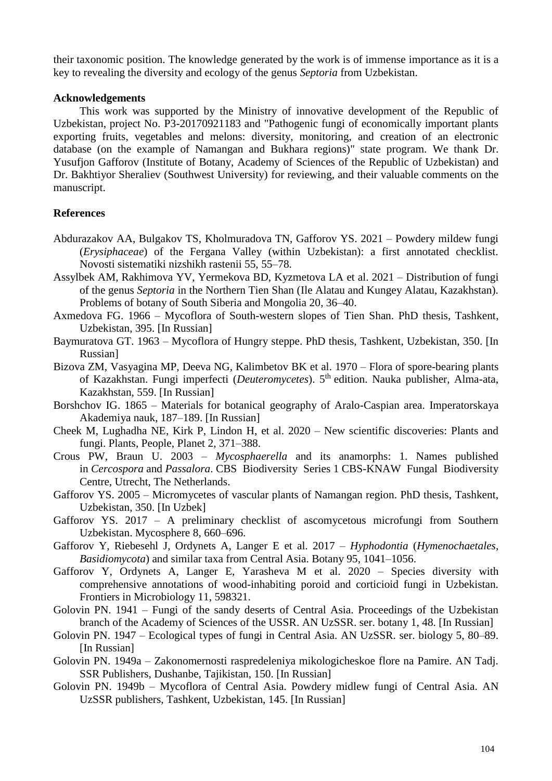their taxonomic position. The knowledge generated by the work is of immense importance as it is a key to revealing the diversity and ecology of the genus *Septoria* from Uzbekistan.

#### **Acknowledgements**

This work was supported by the Ministry of innovative development of the Republic of Uzbekistan, project No. P3-20170921183 and "Pathogenic fungi of economically important plants exporting fruits, vegetables and melons: diversity, monitoring, and creation of an electronic database (on the example of Namangan and Bukhara regions)" state program. We thank Dr. Yusufjon Gafforov (Institute of Botany, Academy of Sciences of the Republic of Uzbekistan) and Dr. Bakhtiyor Sheraliev (Southwest University) for reviewing, and their valuable comments on the manuscript.

#### **References**

- Abdurazakov AA, Bulgakov TS, Kholmuradova TN, Gafforov YS. 2021 Powdery mildew fungi (*Erysiphaceae*) of the Fergana Valley (within Uzbekistan): a first annotated checklist. Novosti sistematiki nizshikh rastenii 55, 55–78.
- Assylbek AM, Rakhimova YV, Yermekova BD, Kyzmetova LA et al. 2021 Distribution of fungi of the genus *Septoria* in the Northern Tien Shan (Ile Alatau and Kungey Alatau, Kazakhstan). Problems of botany of South Siberia and Mongolia 20, 36–40.
- Axmedova FG. 1966 Mycoflora of South-western slopes of Tien Shan. PhD thesis, Tashkent, Uzbekistan, 395. [In Russian]
- Baymuratova GT. 1963 Mycoflora of Hungry steppe. PhD thesis, Tashkent, Uzbekistan, 350. [In Russian]
- Bizova ZM, Vasyagina MP, Deeva NG, Kalimbetov BK et al. 1970 Flora of spore-bearing plants of Kazakhstan. Fungi imperfecti (*Deuteromycetes*). 5<sup>th</sup> edition. Nauka publisher, Alma-ata, Kazakhstan, 559. [In Russian]
- Borshchov IG. 1865 Materials for botanical geography of Aralo-Caspian area. Imperatorskaya Akademiya nauk, 187–189. [In Russian]
- Cheek M, Lughadha NE, Kirk P, Lindon H, et al. 2020 New scientific discoveries: Plants and fungi. Plants, People, Planet 2, 371–388.
- Crous PW, Braun U. 2003 *Mycosphaerella* and its anamorphs: 1. Names published in *Cercospora* and *Passalora*. CBS Biodiversity Series 1 CBS-KNAW Fungal Biodiversity Centre, Utrecht, The Netherlands.
- Gafforov YS. 2005 Micromycetes of vascular plants of Namangan region. PhD thesis, Tashkent, Uzbekistan, 350. [In Uzbek]
- Gafforov YS. 2017 A preliminary checklist of ascomycetous microfungi from Southern Uzbekistan. Mycosphere 8, 660–696.
- Gafforov Y, Riebesehl J, Ordynets A, Langer E et al. 2017 *Hyphodontia* (*Hymenochaetales*, *Basidiomycota*) and similar taxa from Central Asia. Botany 95, 1041–1056.
- Gafforov Y, Ordynets A, Langer E, Yarasheva M et al. 2020 Species diversity with comprehensive annotations of wood-inhabiting poroid and corticioid fungi in Uzbekistan. Frontiers in Microbiology 11, 598321.
- Golovin PN. 1941 Fungi of the sandy deserts of Central Asia. Proceedings of the Uzbekistan branch of the Academy of Sciences of the USSR. AN UzSSR. ser. botany 1, 48. [In Russian]
- Golovin PN. 1947 Ecological types of fungi in Central Asia. AN UzSSR. ser. biology 5, 80–89. [In Russian]
- Golovin PN. 1949a Zakonomernosti raspredeleniya mikologicheskoe flore na Pamire. AN Tadj. SSR Publishers, Dushanbe, Tajikistan, 150. [In Russian]
- Golovin PN. 1949b Mycoflora of Central Asia. Powdery midlew fungi of Central Asia. AN UzSSR publishers, Tashkent, Uzbekistan, 145. [In Russian]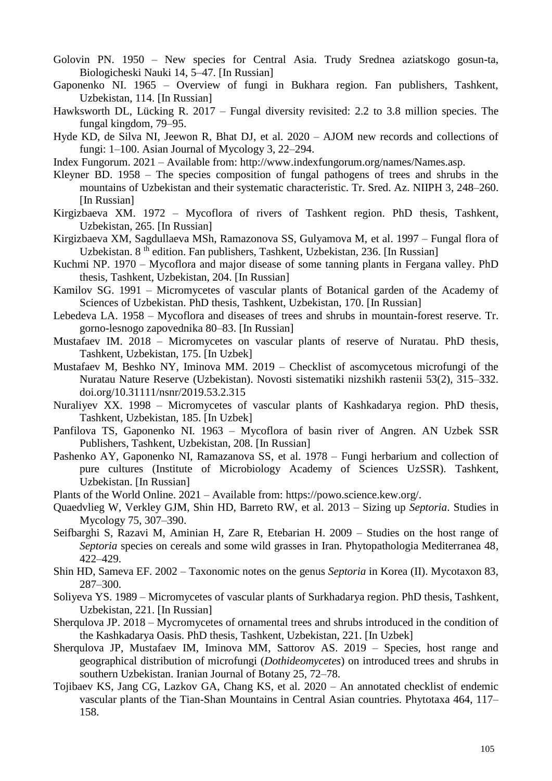- Golovin PN. 1950 New species for Central Asia. Trudy Srednea aziatskogo gosun-ta, Biologicheski Nauki 14, 5–47. [In Russian]
- Gaponenko NI. 1965 Overview of fungi in Bukhara region. Fan publishers, Tashkent, Uzbekistan, 114. [In Russian]
- Hawksworth DL, Lücking R. 2017 Fungal diversity revisited: 2.2 to 3.8 million species. The fungal kingdom, 79–95.
- Hyde KD, de Silva NI, Jeewon R, Bhat DJ, et al. 2020 AJOM new records and collections of fungi: 1–100. Asian Journal of Mycology 3, 22–294.
- Index Fungorum. 2021 Available from: http://www.indexfungorum.org/names/Names.asp.
- Kleyner BD. 1958 The species composition of fungal pathogens of trees and shrubs in the mountains of Uzbekistan and their systematic characteristic. Tr. Sred. Az. NIIPH 3, 248–260. [In Russian]
- Kirgizbaeva XM. 1972 Mycoflora of rivers of Tashkent region. PhD thesis, Tashkent, Uzbekistan, 265. [In Russian]
- Kirgizbaeva XM, Sagdullaeva MSh, Ramazonova SS, Gulyamova M, et al. 1997 Fungal flora of Uzbekistan. 8<sup>th</sup> edition. Fan publishers, Tashkent, Uzbekistan, 236. [In Russian]
- Kuchmi NP. 1970 Mycoflora and major disease of some tanning plants in Fergana valley. PhD thesis, Tashkent, Uzbekistan, 204. [In Russian]
- Kamilov SG. 1991 Micromycetes of vascular plants of Botanical garden of the Academy of Sciences of Uzbekistan. PhD thesis, Tashkent, Uzbekistan, 170. [In Russian]
- Lebedeva LA. 1958 Mycoflora and diseases of trees and shrubs in mountain-forest reserve. Tr. gorno-lesnogo zapovednika 80–83. [In Russian]
- Mustafaev IM. 2018 Micromycetes on vascular plants of reserve of Nuratau. PhD thesis, Tashkent, Uzbekistan, 175. [In Uzbek]
- Mustafaev M, Beshko NY, Iminova MM. 2019 Checklist of ascomycetous microfungi of the Nuratau Nature Reserve (Uzbekistan). Novosti sistematiki nizshikh rastenii 53(2), 315–332. doi.org/10.31111/nsnr/2019.53.2.315
- Nuraliyev XX. 1998 Micromycetes of vascular plants of Kashkadarya region. PhD thesis, Tashkent, Uzbekistan, 185. [In Uzbek]
- Panfilova TS, Gaponenko NI. 1963 Mycoflora of basin river of Angren. AN Uzbek SSR Publishers, Tashkent, Uzbekistan, 208. [In Russian]
- Pashenko AY, Gaponenko NI, Ramazanova SS, et al. 1978 Fungi herbarium and collection of pure cultures (Institute of Microbiology Academy of Sciences UzSSR). Tashkent, Uzbekistan. [In Russian]
- Plants of the World Online. 2021 Available from: https://powo.science.kew.org/.
- Quaedvlieg W, Verkley GJM, Shin HD, Barreto RW, et al. 2013 Sizing up *Septoria*. Studies in Mycology 75, 307–390.
- Seifbarghi S, Razavi M, Aminian H, Zare R, Etebarian H. 2009 Studies on the host range of *Septoria* species on cereals and some wild grasses in Iran. Phytopathologia Mediterranea 48, 422–429.
- Shin HD, Sameva EF. 2002 Taxonomic notes on the genus *Septoria* in Korea (II). Mycotaxon 83, 287–300.
- Soliyeva YS. 1989 Micromycetes of vascular plants of Surkhadarya region. PhD thesis, Tashkent, Uzbekistan, 221. [In Russian]
- Sherqulova JP. 2018 Mycromycetes of ornamental trees and shrubs introduced in the condition of the Kashkadarya Oasis. PhD thesis, Tashkent, Uzbekistan, 221. [In Uzbek]
- Sherqulova JP, Mustafaev IM, Iminova MM, Sattorov AS. 2019 Species, host range and geographical distribution of microfungi (*Dothideomycetes*) on introduced trees and shrubs in southern Uzbekistan. Iranian Journal of Botany 25, 72–78.
- Tojibaev KS, Jang CG, Lazkov GA, Chang KS, et al. 2020 An annotated checklist of endemic vascular plants of the Tian-Shan Mountains in Central Asian countries. Phytotaxa 464, 117– 158.